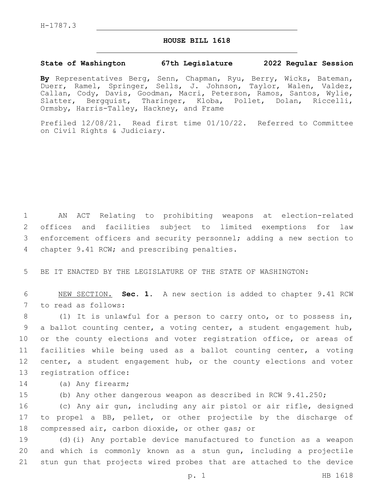H-1787.3

## **HOUSE BILL 1618**

## **State of Washington 67th Legislature 2022 Regular Session**

**By** Representatives Berg, Senn, Chapman, Ryu, Berry, Wicks, Bateman, Duerr, Ramel, Springer, Sells, J. Johnson, Taylor, Walen, Valdez, Callan, Cody, Davis, Goodman, Macri, Peterson, Ramos, Santos, Wylie, Slatter, Bergquist, Tharinger, Kloba, Pollet, Dolan, Riccelli, Ormsby, Harris-Talley, Hackney, and Frame

Prefiled 12/08/21. Read first time 01/10/22. Referred to Committee on Civil Rights & Judiciary.

 AN ACT Relating to prohibiting weapons at election-related offices and facilities subject to limited exemptions for law enforcement officers and security personnel; adding a new section to 4 chapter 9.41 RCW; and prescribing penalties.

5 BE IT ENACTED BY THE LEGISLATURE OF THE STATE OF WASHINGTON:

6 NEW SECTION. **Sec. 1.** A new section is added to chapter 9.41 RCW 7 to read as follows:

8 (1) It is unlawful for a person to carry onto, or to possess in, 9 a ballot counting center, a voting center, a student engagement hub, 10 or the county elections and voter registration office, or areas of 11 facilities while being used as a ballot counting center, a voting 12 center, a student engagement hub, or the county elections and voter 13 registration office:

14 (a) Any firearm;

15 (b) Any other dangerous weapon as described in RCW 9.41.250;

16 (c) Any air gun, including any air pistol or air rifle, designed 17 to propel a BB, pellet, or other projectile by the discharge of 18 compressed air, carbon dioxide, or other gas; or

19 (d)(i) Any portable device manufactured to function as a weapon 20 and which is commonly known as a stun gun, including a projectile 21 stun gun that projects wired probes that are attached to the device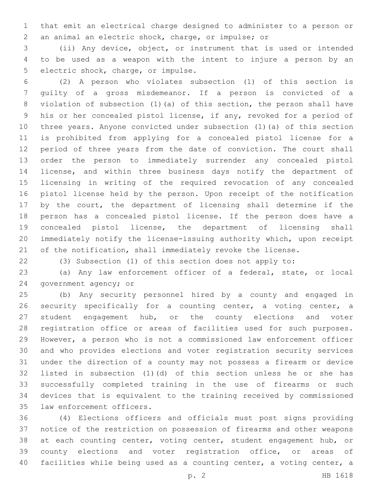that emit an electrical charge designed to administer to a person or an animal an electric shock, charge, or impulse; or

 (ii) Any device, object, or instrument that is used or intended to be used as a weapon with the intent to injure a person by an 5 electric shock, charge, or impulse.

 (2) A person who violates subsection (1) of this section is guilty of a gross misdemeanor. If a person is convicted of a violation of subsection (1)(a) of this section, the person shall have his or her concealed pistol license, if any, revoked for a period of three years. Anyone convicted under subsection (1)(a) of this section is prohibited from applying for a concealed pistol license for a period of three years from the date of conviction. The court shall order the person to immediately surrender any concealed pistol license, and within three business days notify the department of licensing in writing of the required revocation of any concealed pistol license held by the person. Upon receipt of the notification by the court, the department of licensing shall determine if the person has a concealed pistol license. If the person does have a concealed pistol license, the department of licensing shall immediately notify the license-issuing authority which, upon receipt 21 of the notification, shall immediately revoke the license.

(3) Subsection (1) of this section does not apply to:

 (a) Any law enforcement officer of a federal, state, or local 24 government agency; or

 (b) Any security personnel hired by a county and engaged in security specifically for a counting center, a voting center, a 27 student engagement hub, or the county elections and voter registration office or areas of facilities used for such purposes. However, a person who is not a commissioned law enforcement officer and who provides elections and voter registration security services under the direction of a county may not possess a firearm or device listed in subsection (1)(d) of this section unless he or she has successfully completed training in the use of firearms or such devices that is equivalent to the training received by commissioned 35 law enforcement officers.

 (4) Elections officers and officials must post signs providing notice of the restriction on possession of firearms and other weapons 38 at each counting center, voting center, student engagement hub, or 39 county elections and voter registration office, or areas of facilities while being used as a counting center, a voting center, a

p. 2 HB 1618